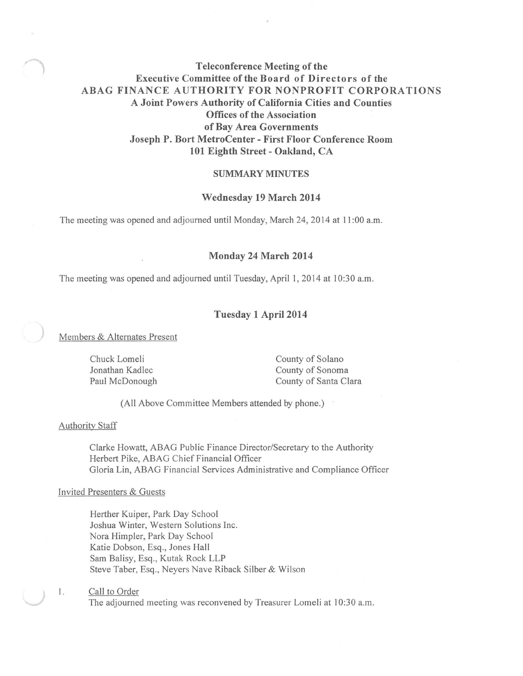# **Teleconference Meeting of the Executive Committee of the Board of Directors of the ABAG FINANCE AUTHORITY FOR NONPROFIT CORPORATIONS A Joint Powers Authority of California Cities and Counties Offices of the Association of Bay Area Governments Joseph P. Bort MetroCenter - First Floor Conference Room 101 Eighth Street - Oakland, CA**

## **SUMMARY MINUTES**

## **Wednesday 19 March 2014**

The meeting was opened and adjourned until Monday, March 24, 2014 at 11 :00 a.m.

### **Monday 24 March 2014**

The meeting was opened and adjourned until Tuesday, April 1, 2014 at 10:30 a.m.

## **Tuesday 1 April 2014**

) Members & Alternates Present

Chuck Lomeli Jonathan Kadlec Paul McDonough County of Solano County of Sonoma County of Santa Clara

(All Above Committee Members attended by phone.)

#### Authority Staff

Clarke Howatt, ABAG Public Finance Director/Secretary to the Authority Herbert Pike, ABAG Chief Financial Officer Gloria Lin, ABAG Financial Services Administrative and Compliance Officer

### Invited Presenters & Guests

Herther Kuiper, Park Day School Joshua Winter, Western Solutions Inc. Nora Himpler, Park Day School Katie Dobson, Esq., Jones Hall Sam Balisy, Esq., Kutak Rock LLP Steve Taber, Esq., Neyers Nave Riback Silber & Wilson

#### Call to Order

1.

The adjourned meeting was reconvened by Treasurer Lomeli at 10:30 a.m.